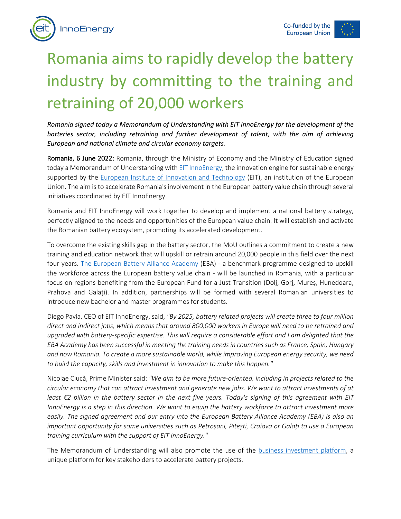



## Romania aims to rapidly develop the battery industry by committing to the training and retraining of 20,000 workers

*Romania signed today a Memorandum of Understanding with EIT InnoEnergy for the development of the*  batteries sector, including retraining and further development of talent, with the aim of achieving *European and national climate and circular economy targets.*

Romania, 6 June 2022: Romania, through the Ministry of Economy and the Ministry of Education signed today a Memorandum of Understanding with **EIT InnoEnergy**, the innovation engine for sustainable energy supported by the European Institute of Innovation and Technology (EIT), an institution of the European Union. The aim is to accelerate Romania's involvement in the European battery value chain through several initiatives coordinated by EIT InnoEnergy.

Romania and EIT InnoEnergy will work together to develop and implement a national battery strategy, perfectly aligned to the needs and opportunities of the European value chain. It will establish and activate the Romanian battery ecosystem, promoting its accelerated development.

To overcome the existing skills gap in the battery sector, the MoU outlines a commitment to create a new training and education network that will upskill or retrain around 20,000 people in this field over the next four years. The European Battery Alliance Academy (EBA) - a benchmark programme designed to upskill the workforce across the European battery value chain - will be launched in Romania, with a particular focus on regions benefiting from the European Fund for a Just Transition (Dolj, Gorj, Mureș, Hunedoara, Prahova and Galați). In addition, partnerships will be formed with several Romanian universities to introduce new bachelor and master programmes for students.

Diego Pavía, CEO of EIT InnoEnergy, said, *"By 2025, battery related projects will create three to four million direct and indirect jobs, which means that around 800,000 workers in Europe will need to be retrained and upgraded with battery-specific expertise. This will require a considerable effort and I am delighted that the EBA Academy has been successful in meeting the training needs in countries such as France, Spain, Hungary and now Romania. To create a more sustainable world, while improving European energy security, we need to build the capacity, skills and investment in innovation to make this happen."*

Nicolae Ciucă, Prime Minister said: *"We aim to be more future-oriented, including in projects related to the circular economy that can attract investment and generate new jobs. We want to attract investments of at least €2 billion in the battery sector in the next five years. Today's signing of this agreement with EIT InnoEnergy is a step in this direction. We want to equip the battery workforce to attract investment more easily. The signed agreement and our entry into the European Battery Alliance Academy (EBA) is also an important opportunity for some universities such as Petroșani, Pitești, Craiova or Galați to use a European training curriculum with the support of EIT InnoEnergy."*

The Memorandum of Understanding will also promote the use of the business investment platform, a unique platform for key stakeholders to accelerate battery projects.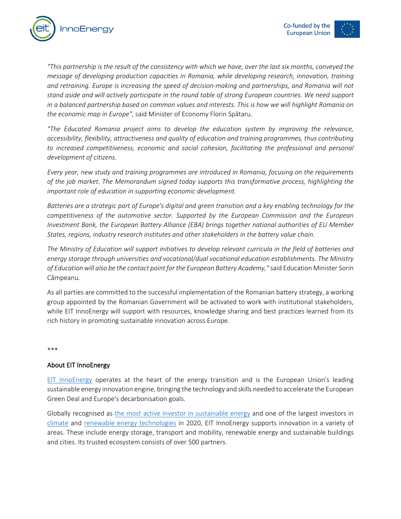



*"This partnership is the result of the consistency with which we have, over the last six months, conveyed the message of developing production capacities in Romania, while developing research, innovation, training and retraining. Europe is increasing the speed of decision-making and partnerships, and Romania will not stand aside and will actively participate in the round table of strong European countries. We need support in a balanced partnership based on common values and interests. This is how we will highlight Romania on the economic map in Europe"*, said Minister of Economy Florin Spătaru.

*"The Educated Romania project aims to develop the education system by improving the relevance, accessibility, flexibility, attractiveness and quality of education and training programmes, thus contributing to increased competitiveness, economic and social cohesion, facilitating the professional and personal development of citizens.*

*Every year, new study and training programmes are introduced in Romania, focusing on the requirements of the job market. The Memorandum signed today supports this transformative process, highlighting the important role of education in supporting economic development.*

*Batteries are a strategic part of Europe's digital and green transition and a key enabling technology for the competitiveness of the automotive sector. Supported by the European Commission and the European Investment Bank, the European Battery Alliance (EBA) brings together national authorities of EU Member States, regions, industry research institutes and other stakeholders in the battery value chain.*

*The Ministry of Education will support initiatives to develop relevant curricula in the field of batteries and energy storage through universities and vocational/dual vocational education establishments. The Ministry of Education will also be the contact point for the European Battery Academy,"*said Education Minister Sorin Câmpeanu.

As all parties are committed to the successful implementation of the Romanian battery strategy, a working group appointed by the Romanian Government will be activated to work with institutional stakeholders, while EIT InnoEnergy will support with resources, knowledge sharing and best practices learned from its rich history in promoting sustainable innovation across Europe.

\*\*\*

## About EIT InnoEnergy

EIT InnoEnergy operates at the heart of the energy transition and is the European Union's leading sustainable energy innovation engine, bringing the technology and skills needed to accelerate the European Green Deal and Europe's decarbonisation goals.

Globally recognised as the most active investor in sustainable energy and one of the largest investors in climate and renewable energy technologies in 2020, EIT InnoEnergy supports innovation in a variety of areas. These include energy storage, transport and mobility, renewable energy and sustainable buildings and cities. Its trusted ecosystem consists of over 500 partners.